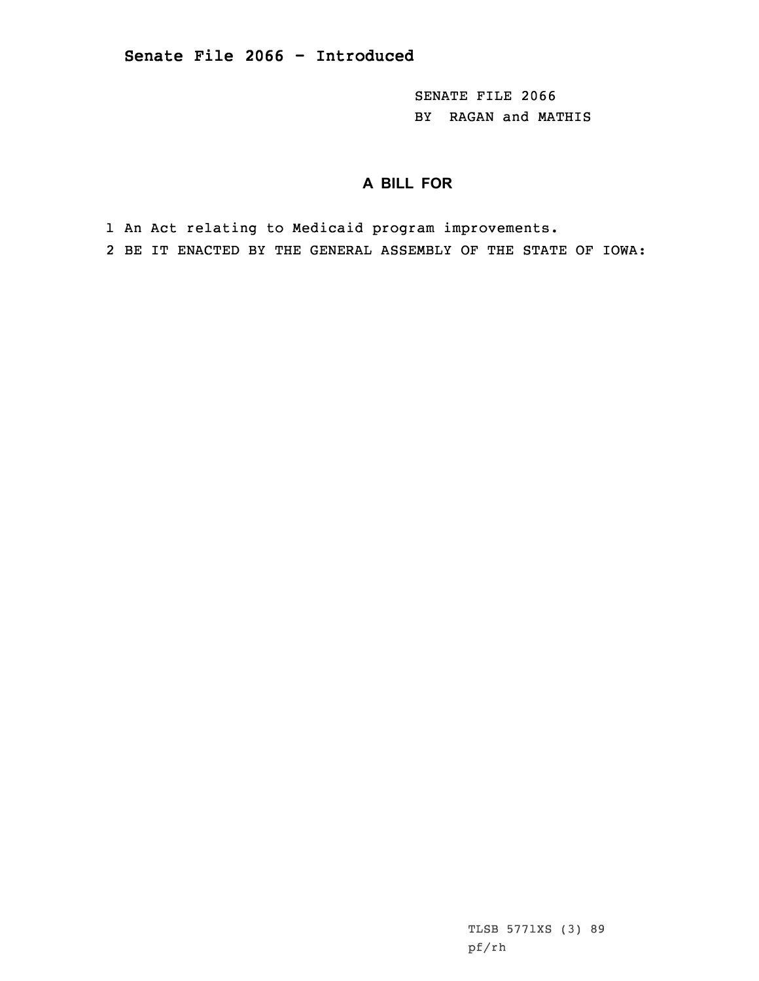SENATE FILE 2066 BY RAGAN and MATHIS

## **A BILL FOR**

1 An Act relating to Medicaid program improvements.

2 BE IT ENACTED BY THE GENERAL ASSEMBLY OF THE STATE OF IOWA:

TLSB 5771XS (3) 89 pf/rh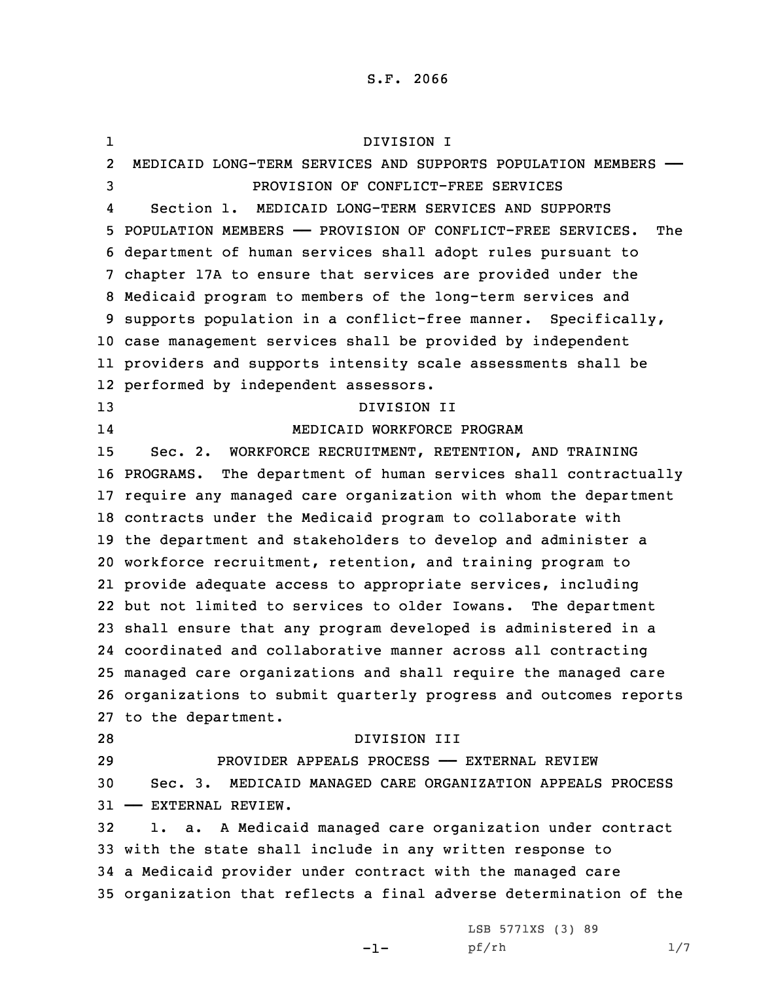1 DIVISION I 2 MEDICAID LONG-TERM SERVICES AND SUPPORTS POPULATION MEMBERS —— PROVISION OF CONFLICT-FREE SERVICES 4 Section 1. MEDICAID LONG-TERM SERVICES AND SUPPORTS POPULATION MEMBERS —— PROVISION OF CONFLICT-FREE SERVICES. The department of human services shall adopt rules pursuant to chapter 17A to ensure that services are provided under the Medicaid program to members of the long-term services and supports population in <sup>a</sup> conflict-free manner. Specifically, case management services shall be provided by independent providers and supports intensity scale assessments shall be performed by independent assessors. DIVISION II 14 MEDICAID WORKFORCE PROGRAM Sec. 2. WORKFORCE RECRUITMENT, RETENTION, AND TRAINING PROGRAMS. The department of human services shall contractually require any managed care organization with whom the department contracts under the Medicaid program to collaborate with the department and stakeholders to develop and administer <sup>a</sup> workforce recruitment, retention, and training program to provide adequate access to appropriate services, including but not limited to services to older Iowans. The department shall ensure that any program developed is administered in <sup>a</sup> coordinated and collaborative manner across all contracting managed care organizations and shall require the managed care organizations to submit quarterly progress and outcomes reports to the department. DIVISION III PROVIDER APPEALS PROCESS —— EXTERNAL REVIEW Sec. 3. MEDICAID MANAGED CARE ORGANIZATION APPEALS PROCESS —— EXTERNAL REVIEW. 1. a. <sup>A</sup> Medicaid managed care organization under contract with the state shall include in any written response to <sup>a</sup> Medicaid provider under contract with the managed care organization that reflects <sup>a</sup> final adverse determination of the

-1-

LSB 5771XS (3) 89 pf/rh 1/7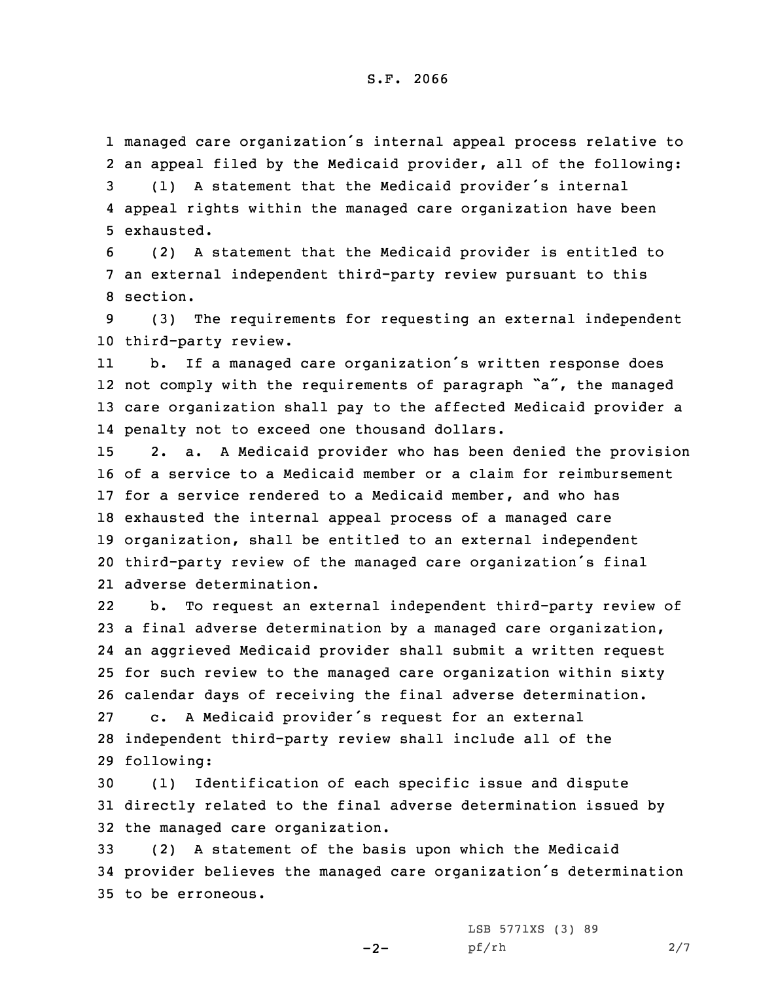## S.F. 2066

1 managed care organization's internal appeal process relative to 2 an appeal filed by the Medicaid provider, all of the following:

<sup>3</sup> (1) <sup>A</sup> statement that the Medicaid provider's internal 4 appeal rights within the managed care organization have been 5 exhausted.

6 (2) <sup>A</sup> statement that the Medicaid provider is entitled to 7 an external independent third-party review pursuant to this 8 section.

9 (3) The requirements for requesting an external independent 10 third-party review.

11 b. If <sup>a</sup> managed care organization's written response does 12 not comply with the requirements of paragraph "a", the managed 13 care organization shall pay to the affected Medicaid provider <sup>a</sup> 14 penalty not to exceed one thousand dollars.

 2. a. <sup>A</sup> Medicaid provider who has been denied the provision of <sup>a</sup> service to <sup>a</sup> Medicaid member or <sup>a</sup> claim for reimbursement for <sup>a</sup> service rendered to <sup>a</sup> Medicaid member, and who has exhausted the internal appeal process of <sup>a</sup> managed care organization, shall be entitled to an external independent third-party review of the managed care organization's final adverse determination.

22 b. To request an external independent third-party review of <sup>a</sup> final adverse determination by <sup>a</sup> managed care organization, an aggrieved Medicaid provider shall submit <sup>a</sup> written request for such review to the managed care organization within sixty calendar days of receiving the final adverse determination. c. <sup>A</sup> Medicaid provider's request for an external independent third-party review shall include all of the following:

30 (1) Identification of each specific issue and dispute 31 directly related to the final adverse determination issued by 32 the managed care organization.

33 (2) <sup>A</sup> statement of the basis upon which the Medicaid <sup>34</sup> provider believes the managed care organization's determination 35 to be erroneous.

 $-2-$ 

LSB 5771XS (3) 89 pf/rh 2/7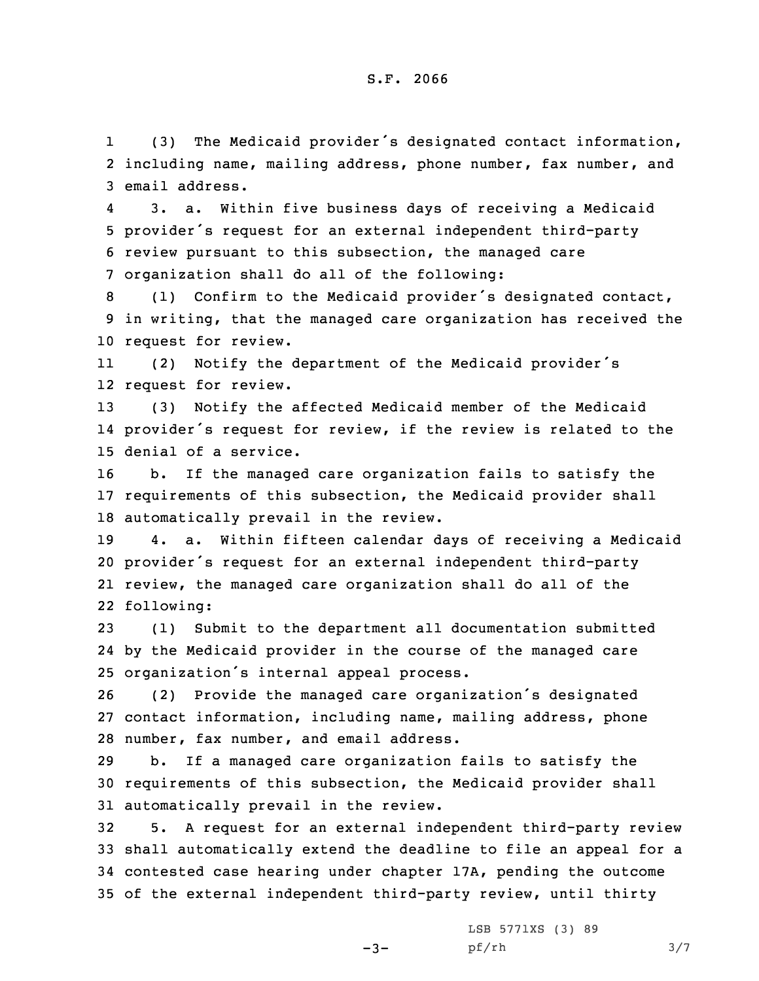1 (3) The Medicaid provider's designated contact information, 2 including name, mailing address, phone number, fax number, and 3 email address.

4 3. a. Within five business days of receiving <sup>a</sup> Medicaid <sup>5</sup> provider's request for an external independent third-party 6 review pursuant to this subsection, the managed care 7 organization shall do all of the following:

<sup>8</sup> (1) Confirm to the Medicaid provider's designated contact, 9 in writing, that the managed care organization has received the 10 request for review.

11 (2) Notify the department of the Medicaid provider's 12 request for review.

13 (3) Notify the affected Medicaid member of the Medicaid 14 provider's request for review, if the review is related to the 15 denial of <sup>a</sup> service.

16 b. If the managed care organization fails to satisfy the 17 requirements of this subsection, the Medicaid provider shall 18 automatically prevail in the review.

 4. a. Within fifteen calendar days of receiving <sup>a</sup> Medicaid provider's request for an external independent third-party review, the managed care organization shall do all of the following:

23 (1) Submit to the department all documentation submitted 24 by the Medicaid provider in the course of the managed care <sup>25</sup> organization's internal appeal process.

<sup>26</sup> (2) Provide the managed care organization's designated 27 contact information, including name, mailing address, phone 28 number, fax number, and email address.

29 b. If <sup>a</sup> managed care organization fails to satisfy the 30 requirements of this subsection, the Medicaid provider shall 31 automatically prevail in the review.

 5. <sup>A</sup> request for an external independent third-party review shall automatically extend the deadline to file an appeal for <sup>a</sup> contested case hearing under chapter 17A, pending the outcome of the external independent third-party review, until thirty

 $-3-$ 

LSB 5771XS (3) 89 pf/rh 3/7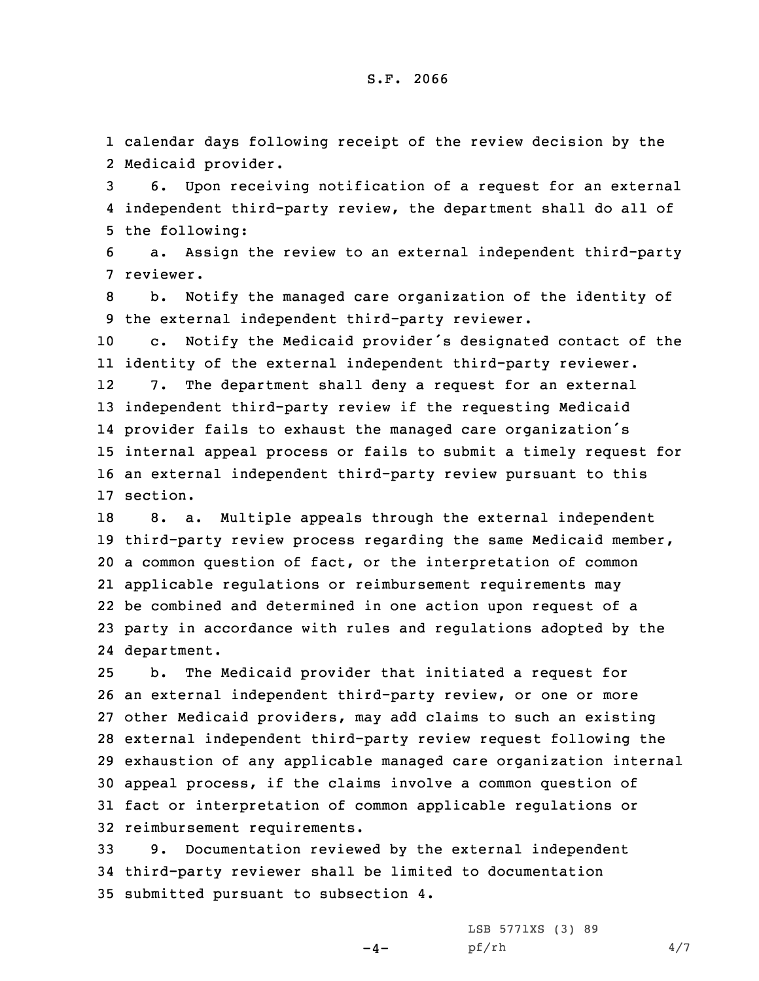1 calendar days following receipt of the review decision by the 2 Medicaid provider.

3 6. Upon receiving notification of <sup>a</sup> request for an external 4 independent third-party review, the department shall do all of 5 the following:

6 a. Assign the review to an external independent third-party 7 reviewer.

8 b. Notify the managed care organization of the identity of 9 the external independent third-party reviewer.

 c. Notify the Medicaid provider's designated contact of the identity of the external independent third-party reviewer. 12 7. The department shall deny <sup>a</sup> request for an external independent third-party review if the requesting Medicaid provider fails to exhaust the managed care organization's internal appeal process or fails to submit <sup>a</sup> timely request for an external independent third-party review pursuant to this 17 section.

 8. a. Multiple appeals through the external independent third-party review process regarding the same Medicaid member, <sup>a</sup> common question of fact, or the interpretation of common applicable regulations or reimbursement requirements may be combined and determined in one action upon request of <sup>a</sup> party in accordance with rules and regulations adopted by the department.

 b. The Medicaid provider that initiated <sup>a</sup> request for an external independent third-party review, or one or more other Medicaid providers, may add claims to such an existing external independent third-party review request following the exhaustion of any applicable managed care organization internal appeal process, if the claims involve <sup>a</sup> common question of fact or interpretation of common applicable regulations or reimbursement requirements.

33 9. Documentation reviewed by the external independent 34 third-party reviewer shall be limited to documentation 35 submitted pursuant to subsection 4.

 $-4-$ 

LSB 5771XS (3) 89 pf/rh 4/7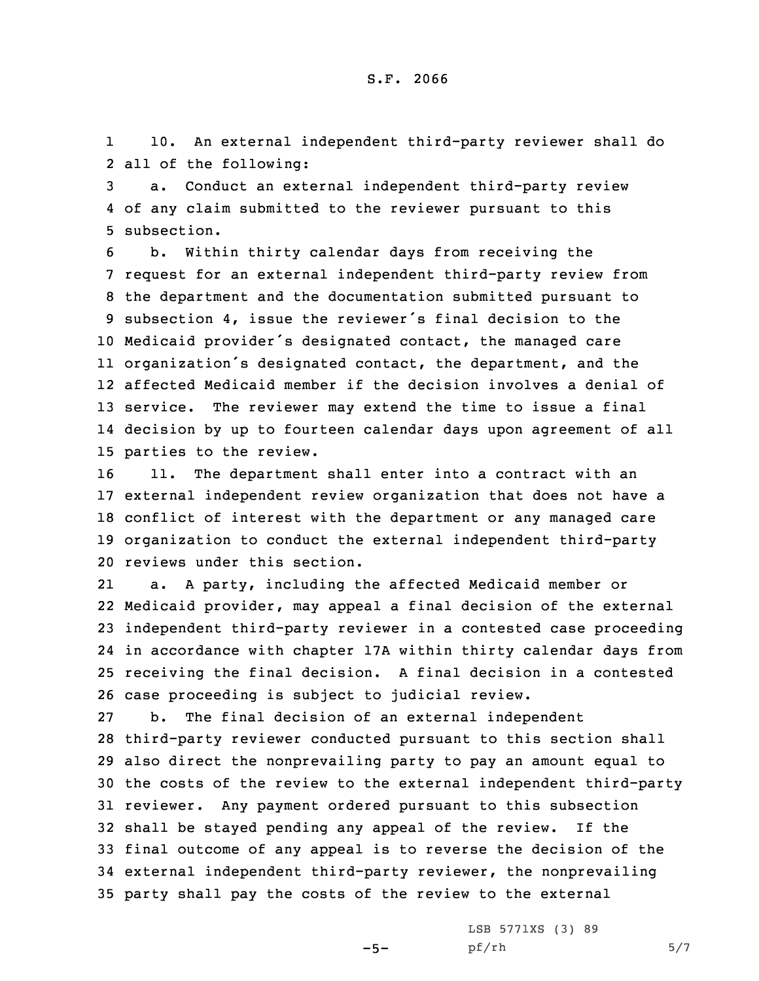1 10. An external independent third-party reviewer shall do 2 all of the following:

3 a. Conduct an external independent third-party review 4 of any claim submitted to the reviewer pursuant to this 5 subsection.

 b. Within thirty calendar days from receiving the request for an external independent third-party review from the department and the documentation submitted pursuant to subsection 4, issue the reviewer's final decision to the Medicaid provider's designated contact, the managed care organization's designated contact, the department, and the affected Medicaid member if the decision involves <sup>a</sup> denial of service. The reviewer may extend the time to issue <sup>a</sup> final decision by up to fourteen calendar days upon agreement of all parties to the review.

 11. The department shall enter into <sup>a</sup> contract with an external independent review organization that does not have <sup>a</sup> conflict of interest with the department or any managed care organization to conduct the external independent third-party reviews under this section.

21 a. <sup>A</sup> party, including the affected Medicaid member or Medicaid provider, may appeal <sup>a</sup> final decision of the external independent third-party reviewer in <sup>a</sup> contested case proceeding in accordance with chapter 17A within thirty calendar days from receiving the final decision. <sup>A</sup> final decision in <sup>a</sup> contested case proceeding is subject to judicial review.

 b. The final decision of an external independent third-party reviewer conducted pursuant to this section shall also direct the nonprevailing party to pay an amount equal to the costs of the review to the external independent third-party reviewer. Any payment ordered pursuant to this subsection shall be stayed pending any appeal of the review. If the final outcome of any appeal is to reverse the decision of the external independent third-party reviewer, the nonprevailing party shall pay the costs of the review to the external

 $-5-$ 

LSB 5771XS (3) 89  $pf/rh$  5/7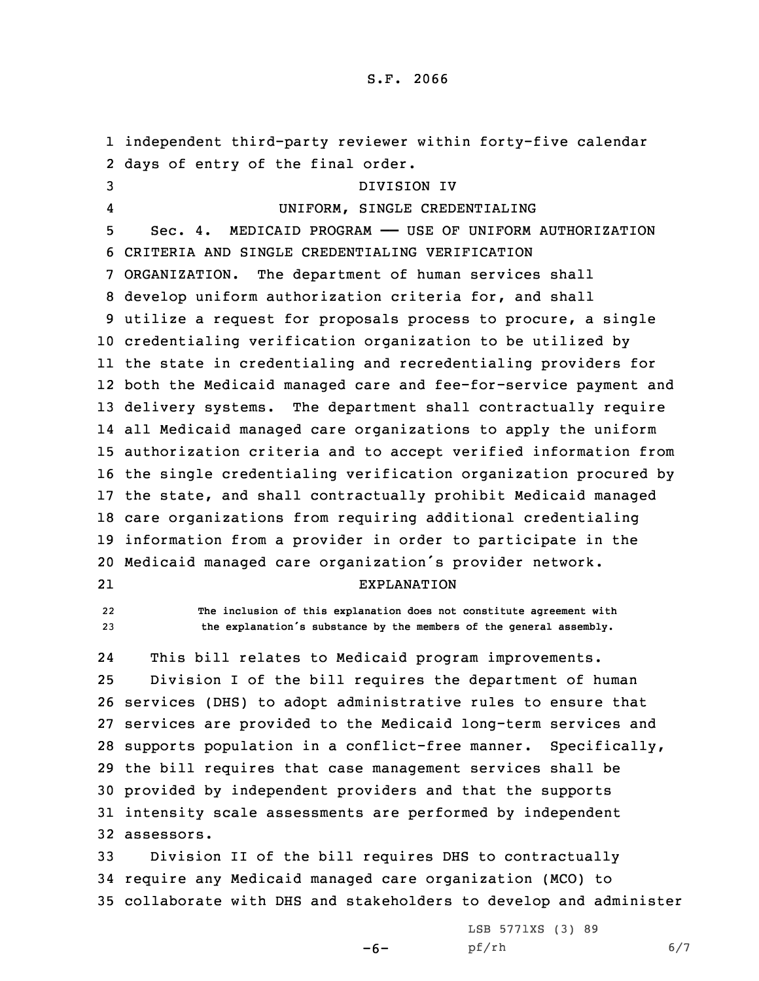independent third-party reviewer within forty-five calendar days of entry of the final order. DIVISION IV 4 UNIFORM, SINGLE CREDENTIALING Sec. 4. MEDICAID PROGRAM —— USE OF UNIFORM AUTHORIZATION CRITERIA AND SINGLE CREDENTIALING VERIFICATION ORGANIZATION. The department of human services shall develop uniform authorization criteria for, and shall utilize <sup>a</sup> request for proposals process to procure, <sup>a</sup> single credentialing verification organization to be utilized by the state in credentialing and recredentialing providers for both the Medicaid managed care and fee-for-service payment and delivery systems. The department shall contractually require all Medicaid managed care organizations to apply the uniform authorization criteria and to accept verified information from the single credentialing verification organization procured by the state, and shall contractually prohibit Medicaid managed care organizations from requiring additional credentialing information from <sup>a</sup> provider in order to participate in the Medicaid managed care organization's provider network. 21 EXPLANATION 22 **The inclusion of this explanation does not constitute agreement with the explanation's substance by the members of the general assembly.** 24 This bill relates to Medicaid program improvements. Division <sup>I</sup> of the bill requires the department of human services (DHS) to adopt administrative rules to ensure that services are provided to the Medicaid long-term services and supports population in <sup>a</sup> conflict-free manner. Specifically, the bill requires that case management services shall be provided by independent providers and that the supports intensity scale assessments are performed by independent assessors. Division II of the bill requires DHS to contractually

34 require any Medicaid managed care organization (MCO) to 35 collaborate with DHS and stakeholders to develop and administer

 $-6-$ 

LSB 5771XS (3) 89 pf/rh 6/7